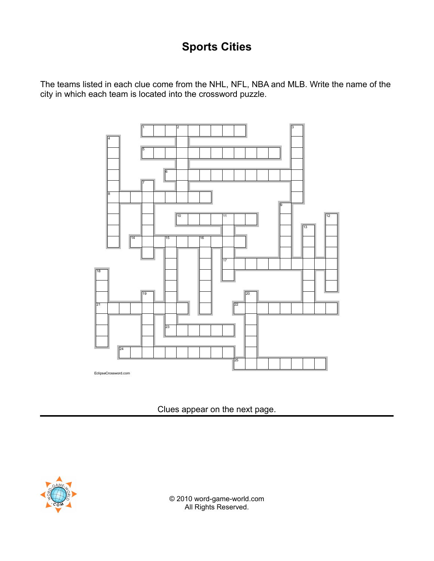## **Sports Cities**

The teams listed in each clue come from the NHL, NFL, NBA and MLB. Write the name of the city in which each team is located into the crossword puzzle.



Clues appear on the next page.



© 2010 word-game-world.com All Rights Reserved.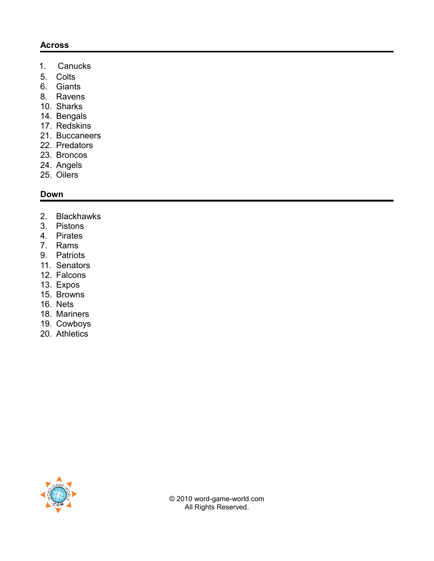## **Across**

- 1. Canucks
- 5. Colts
- 6. Giants
- 8. Ravens
- 10. Sharks
- 14. Bengals
- 17. Redskins
- 21. Buccaneers
- 22. Predators
- 23. Broncos
- 24. Angels
- 25. Oilers

## **Down**

- 2. Blackhawks
- 3. Pistons
- 4. Pirates
- 7. Rams
- 9. Patriots
- 11. Senators
- 12. Falcons
- 13. Expos
- 15. Browns
- 16. Nets
- 18. Mariners
- 19. Cowboys
- 20. Athletics



© 2010 word-game-world.com All Rights Reserved.